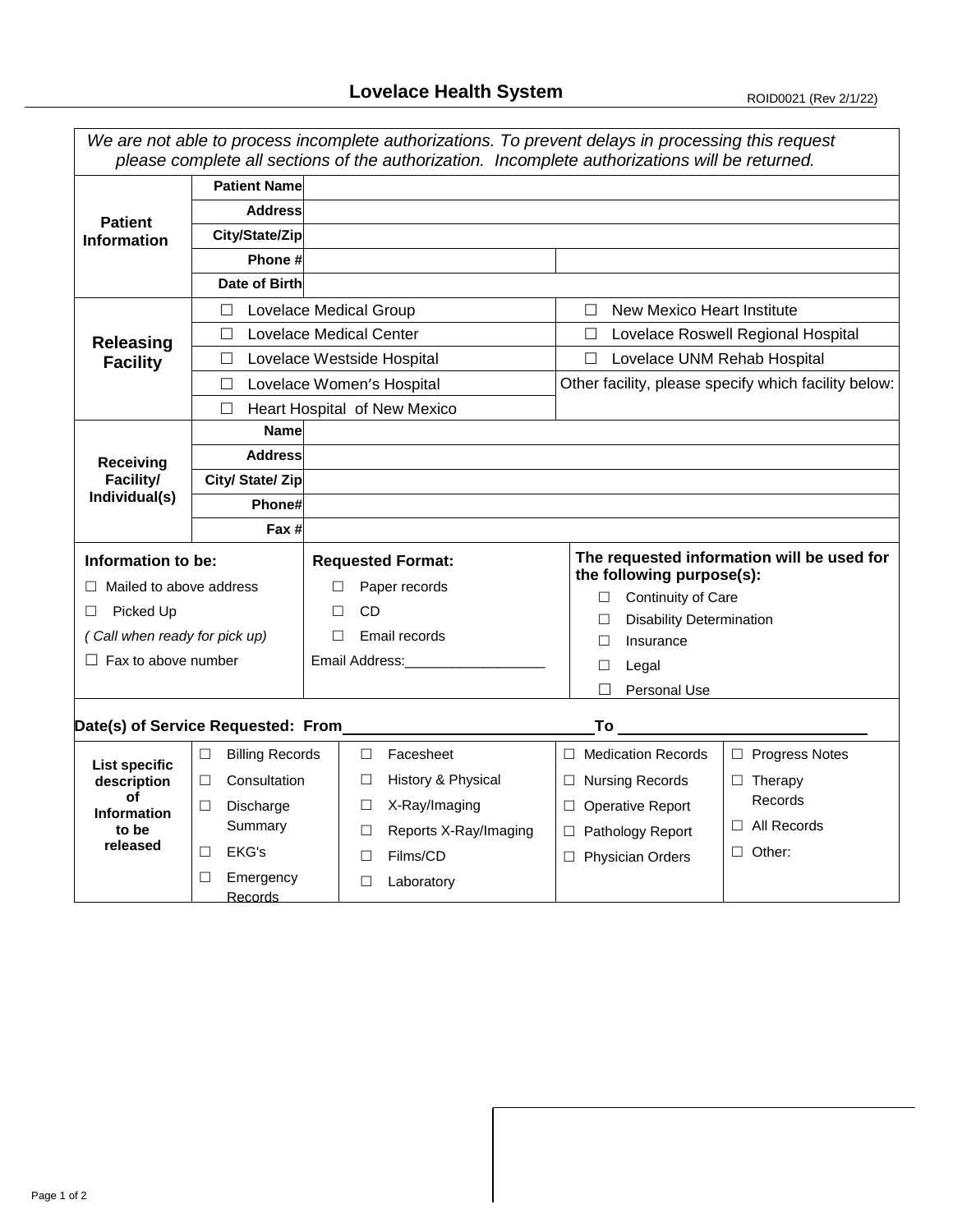|                                                 |                                         |                                 | We are not able to process incomplete authorizations. To prevent delays in processing this request<br>please complete all sections of the authorization. Incomplete authorizations will be returned. |  |  |  |  |
|-------------------------------------------------|-----------------------------------------|---------------------------------|------------------------------------------------------------------------------------------------------------------------------------------------------------------------------------------------------|--|--|--|--|
|                                                 | <b>Patient Name</b>                     |                                 |                                                                                                                                                                                                      |  |  |  |  |
| <b>Patient</b><br><b>Information</b>            | <b>Address</b>                          |                                 |                                                                                                                                                                                                      |  |  |  |  |
|                                                 | City/State/Zip                          |                                 |                                                                                                                                                                                                      |  |  |  |  |
|                                                 | Phone #                                 |                                 |                                                                                                                                                                                                      |  |  |  |  |
|                                                 | Date of Birth                           |                                 |                                                                                                                                                                                                      |  |  |  |  |
| <b>Releasing</b><br><b>Facility</b>             | <b>Lovelace Medical Group</b><br>$\Box$ |                                 | New Mexico Heart Institute<br>$\Box$                                                                                                                                                                 |  |  |  |  |
|                                                 | П                                       | <b>Lovelace Medical Center</b>  | Lovelace Roswell Regional Hospital<br>$\Box$                                                                                                                                                         |  |  |  |  |
|                                                 | $\Box$                                  | Lovelace Westside Hospital      | □ Lovelace UNM Rehab Hospital                                                                                                                                                                        |  |  |  |  |
|                                                 | Lovelace Women's Hospital<br>$\Box$     |                                 | Other facility, please specify which facility below:                                                                                                                                                 |  |  |  |  |
|                                                 | $\Box$                                  | Heart Hospital of New Mexico    |                                                                                                                                                                                                      |  |  |  |  |
| Receiving<br>Facility/<br>Individual(s)         | <b>Name</b>                             |                                 |                                                                                                                                                                                                      |  |  |  |  |
|                                                 | <b>Address</b>                          |                                 |                                                                                                                                                                                                      |  |  |  |  |
|                                                 | City/ State/ Zip                        |                                 |                                                                                                                                                                                                      |  |  |  |  |
|                                                 | Phone#                                  |                                 |                                                                                                                                                                                                      |  |  |  |  |
|                                                 | Fax #                                   |                                 |                                                                                                                                                                                                      |  |  |  |  |
| Information to be:                              |                                         | <b>Requested Format:</b>        | The requested information will be used for                                                                                                                                                           |  |  |  |  |
| $\Box$ Mailed to above address                  |                                         | Paper records<br>ш              | the following purpose(s):<br>Continuity of Care<br>$\Box$                                                                                                                                            |  |  |  |  |
| Picked Up<br>Ш                                  |                                         | <b>CD</b><br>П                  | <b>Disability Determination</b><br>П                                                                                                                                                                 |  |  |  |  |
| (Call when ready for pick up)                   |                                         | Email records<br>□              | Insurance<br>$\Box$                                                                                                                                                                                  |  |  |  |  |
| $\Box$ Fax to above number                      |                                         | Email Address: Management       | Legal<br>$\Box$                                                                                                                                                                                      |  |  |  |  |
|                                                 |                                         |                                 | Personal Use                                                                                                                                                                                         |  |  |  |  |
| Date(s) of Service Requested: From<br><b>To</b> |                                         |                                 |                                                                                                                                                                                                      |  |  |  |  |
|                                                 | <b>Billing Records</b><br>$\Box$        | Facesheet<br>$\Box$             | $\Box$ Medication Records<br>$\Box$ Progress Notes                                                                                                                                                   |  |  |  |  |
| <b>List specific</b><br>description             | Consultation<br>$\Box$                  | History & Physical<br>$\Box$    | $\Box$ Nursing Records<br>$\Box$ Therapy                                                                                                                                                             |  |  |  |  |
| of<br><b>Information</b><br>to be<br>released   | Discharge<br>⊔                          | X-Ray/Imaging<br>$\Box$         | Records<br>$\Box$ Operative Report                                                                                                                                                                   |  |  |  |  |
|                                                 | Summary                                 | Reports X-Ray/Imaging<br>$\Box$ | $\Box$ All Records<br>□ Pathology Report                                                                                                                                                             |  |  |  |  |
|                                                 | EKG's<br>□                              | Films/CD<br>$\Box$              | $\Box$ Other:<br>□ Physician Orders                                                                                                                                                                  |  |  |  |  |
|                                                 | Emergency<br>□<br>Records               | $\Box$<br>Laboratory            |                                                                                                                                                                                                      |  |  |  |  |